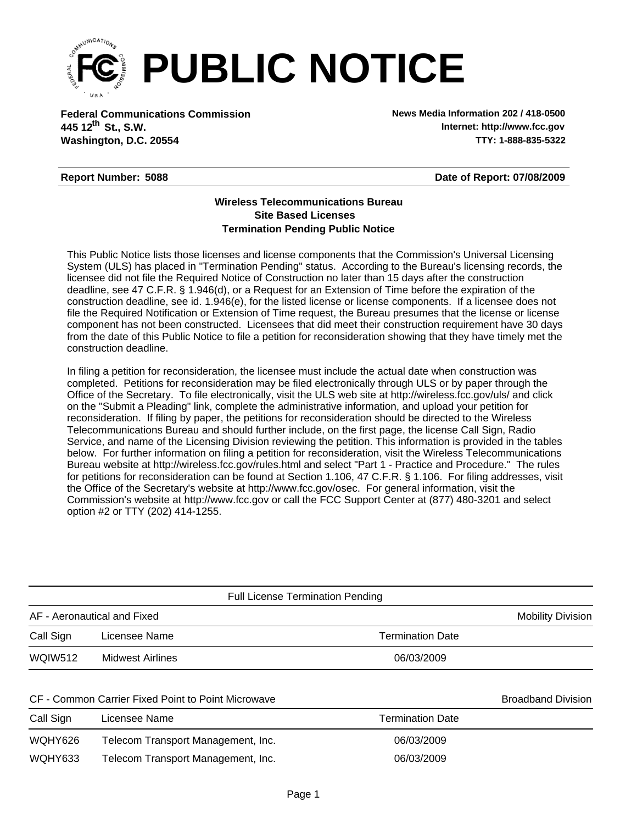

**Federal Communications Commission News Media Information 202 / 418-0500 Washington, D.C. 20554 TTY: 1-888-835-5322 445 12<sup>th</sup> St., S.W.** 

**Internet: http://www.fcc.gov**

## **Report Number: 5088**

**Date of Report: 07/08/2009**

## **Wireless Telecommunications Bureau Site Based Licenses Termination Pending Public Notice**

This Public Notice lists those licenses and license components that the Commission's Universal Licensing System (ULS) has placed in "Termination Pending" status. According to the Bureau's licensing records, the licensee did not file the Required Notice of Construction no later than 15 days after the construction deadline, see 47 C.F.R. § 1.946(d), or a Request for an Extension of Time before the expiration of the construction deadline, see id. 1.946(e), for the listed license or license components. If a licensee does not file the Required Notification or Extension of Time request, the Bureau presumes that the license or license component has not been constructed. Licensees that did meet their construction requirement have 30 days from the date of this Public Notice to file a petition for reconsideration showing that they have timely met the construction deadline.

In filing a petition for reconsideration, the licensee must include the actual date when construction was completed. Petitions for reconsideration may be filed electronically through ULS or by paper through the Office of the Secretary. To file electronically, visit the ULS web site at http://wireless.fcc.gov/uls/ and click on the "Submit a Pleading" link, complete the administrative information, and upload your petition for reconsideration. If filing by paper, the petitions for reconsideration should be directed to the Wireless Telecommunications Bureau and should further include, on the first page, the license Call Sign, Radio Service, and name of the Licensing Division reviewing the petition. This information is provided in the tables below. For further information on filing a petition for reconsideration, visit the Wireless Telecommunications Bureau website at http://wireless.fcc.gov/rules.html and select "Part 1 - Practice and Procedure." The rules for petitions for reconsideration can be found at Section 1.106, 47 C.F.R. § 1.106. For filing addresses, visit the Office of the Secretary's website at http://www.fcc.gov/osec. For general information, visit the Commission's website at http://www.fcc.gov or call the FCC Support Center at (877) 480-3201 and select option #2 or TTY (202) 414-1255.

| <b>Full License Termination Pending</b> |                  |                         |                          |  |
|-----------------------------------------|------------------|-------------------------|--------------------------|--|
| AF - Aeronautical and Fixed             |                  |                         | <b>Mobility Division</b> |  |
| Call Sign                               | Licensee Name    | <b>Termination Date</b> |                          |  |
| <b>WQIW512</b>                          | Midwest Airlines | 06/03/2009              |                          |  |
|                                         |                  |                         |                          |  |

## CF - Common Carrier Fixed Point to Point Microwave **Broadband Division** Broadband Division

| Call Sign | Licensee Name                      | Termination Date |
|-----------|------------------------------------|------------------|
| WQHY626   | Telecom Transport Management, Inc. | 06/03/2009       |
| WQHY633   | Telecom Transport Management, Inc. | 06/03/2009       |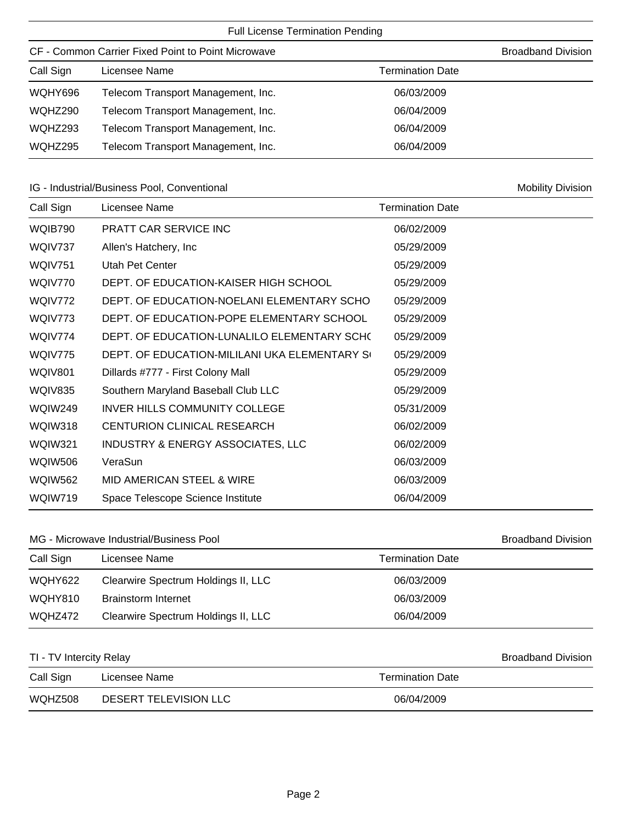| <b>Full License Termination Pending</b>            |                                    |                         |  |  |  |  |
|----------------------------------------------------|------------------------------------|-------------------------|--|--|--|--|
| CF - Common Carrier Fixed Point to Point Microwave | <b>Broadband Division</b>          |                         |  |  |  |  |
| Call Sign                                          | Licensee Name                      | <b>Termination Date</b> |  |  |  |  |
| WQHY696                                            | Telecom Transport Management, Inc. | 06/03/2009              |  |  |  |  |
| WQHZ290                                            | Telecom Transport Management, Inc. | 06/04/2009              |  |  |  |  |
| WQHZ293                                            | Telecom Transport Management, Inc. | 06/04/2009              |  |  |  |  |
| WQHZ295                                            | Telecom Transport Management, Inc. | 06/04/2009              |  |  |  |  |

## IG - Industrial/Business Pool, Conventional Mobility Division Nobility Division

| Call Sign      | Licensee Name                                 | <b>Termination Date</b> |
|----------------|-----------------------------------------------|-------------------------|
| WQIB790        | PRATT CAR SERVICE INC                         | 06/02/2009              |
| WQIV737        | Allen's Hatchery, Inc.                        | 05/29/2009              |
| <b>WQIV751</b> | Utah Pet Center                               | 05/29/2009              |
| WQIV770        | DEPT. OF EDUCATION-KAISER HIGH SCHOOL         | 05/29/2009              |
| WQIV772        | DEPT. OF EDUCATION-NOELANI ELEMENTARY SCHO    | 05/29/2009              |
| WQIV773        | DEPT. OF EDUCATION-POPE ELEMENTARY SCHOOL     | 05/29/2009              |
| WQIV774        | DEPT. OF EDUCATION-LUNALILO ELEMENTARY SCHO   | 05/29/2009              |
| WQIV775        | DEPT. OF EDUCATION-MILILANI UKA ELEMENTARY SO | 05/29/2009              |
| <b>WQIV801</b> | Dillards #777 - First Colony Mall             | 05/29/2009              |
| WQIV835        | Southern Maryland Baseball Club LLC           | 05/29/2009              |
| WQIW249        | <b>INVER HILLS COMMUNITY COLLEGE</b>          | 05/31/2009              |
| WQIW318        | CENTURION CLINICAL RESEARCH                   | 06/02/2009              |
| WQIW321        | INDUSTRY & ENERGY ASSOCIATES, LLC             | 06/02/2009              |
| <b>WQIW506</b> | VeraSun                                       | 06/03/2009              |
| <b>WQIW562</b> | <b>MID AMERICAN STEEL &amp; WIRE</b>          | 06/03/2009              |
| WQIW719        | Space Telescope Science Institute             | 06/04/2009              |
|                |                                               |                         |

## MG - Microwave Industrial/Business Pool and Broadband Division

| Call Sign | Licensee Name                       | Termination Date |
|-----------|-------------------------------------|------------------|
| WQHY622   | Clearwire Spectrum Holdings II, LLC | 06/03/2009       |
| WQHY810   | <b>Brainstorm Internet</b>          | 06/03/2009       |
| WQHZ472   | Clearwire Spectrum Holdings II, LLC | 06/04/2009       |

## TI - TV Intercity Relay **Broadband Division**

| Call Sign | Licensee Name         | <b>Termination Date</b> |
|-----------|-----------------------|-------------------------|
| WQHZ508   | DESERT TELEVISION LLC | 06/04/2009              |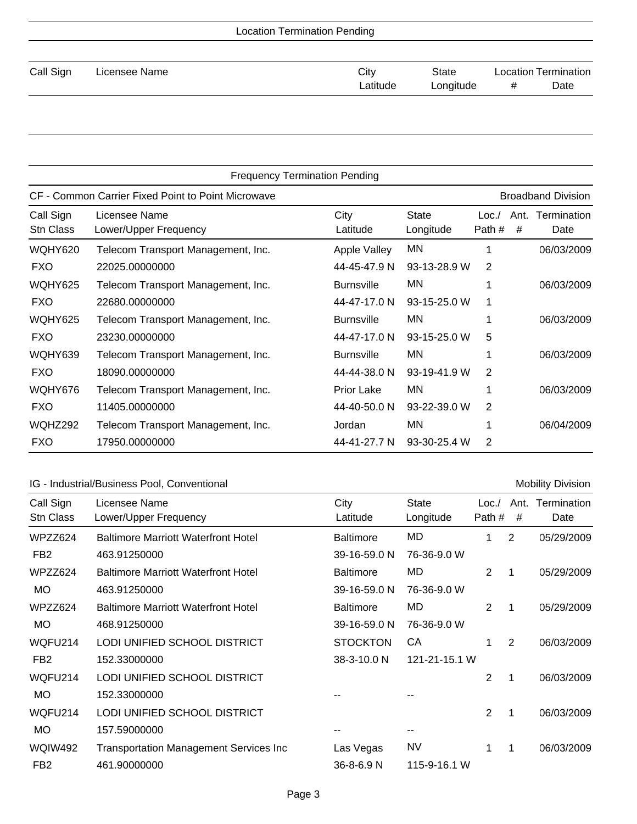| <b>Location Termination Pending</b> |               |          |           |                             |      |  |
|-------------------------------------|---------------|----------|-----------|-----------------------------|------|--|
| Call Sign                           | Licensee Name | City     | State     | <b>Location Termination</b> |      |  |
|                                     |               | Latitude | Longitude | #                           | Date |  |
|                                     |               |          |           |                             |      |  |

| <b>Frequency Termination Pending</b>               |                                        |                     |                           |                |           |                           |
|----------------------------------------------------|----------------------------------------|---------------------|---------------------------|----------------|-----------|---------------------------|
| CF - Common Carrier Fixed Point to Point Microwave |                                        |                     |                           |                |           | <b>Broadband Division</b> |
| Call Sign<br>Stn Class                             | Licensee Name<br>Lower/Upper Frequency | City<br>Latitude    | <b>State</b><br>Longitude | Loc.<br>Path # | Ant.<br># | Termination<br>Date       |
| WQHY620                                            | Telecom Transport Management, Inc.     | <b>Apple Valley</b> | MN                        |                |           | 06/03/2009                |
| <b>FXO</b>                                         | 22025.00000000                         | 44-45-47.9 N        | 93-13-28.9 W              | 2              |           |                           |
| WQHY625                                            | Telecom Transport Management, Inc.     | <b>Burnsville</b>   | ΜN                        |                |           | 06/03/2009                |
| <b>FXO</b>                                         | 22680.00000000                         | 44-47-17.0 N        | 93-15-25.0 W              |                |           |                           |
| WQHY625                                            | Telecom Transport Management, Inc.     | <b>Burnsville</b>   | ΜN                        |                |           | 06/03/2009                |
| <b>FXO</b>                                         | 23230.00000000                         | 44-47-17.0 N        | 93-15-25.0 W              | 5              |           |                           |
| WQHY639                                            | Telecom Transport Management, Inc.     | <b>Burnsville</b>   | ΜN                        |                |           | 06/03/2009                |
| <b>FXO</b>                                         | 18090.00000000                         | 44-44-38.0 N        | 93-19-41.9 W              | 2              |           |                           |
| WQHY676                                            | Telecom Transport Management, Inc.     | <b>Prior Lake</b>   | ΜN                        |                |           | 06/03/2009                |
| <b>FXO</b>                                         | 11405.00000000                         | 44-40-50.0 N        | 93-22-39.0 W              | 2              |           |                           |
| WQHZ292                                            | Telecom Transport Management, Inc.     | Jordan              | ΜN                        |                |           | 06/04/2009                |
| <b>FXO</b>                                         | 17950.00000000                         | 44-41-27.7 N        | 93-30-25.4 W              | 2              |           |                           |

# IG - Industrial/Business Pool, Conventional Mobility Division Mobility Division

| Call Sign<br><b>Stn Class</b> | Licensee Name<br>Lower/Upper Frequency        | City<br>Latitude | <b>State</b><br>Longitude | Loc.<br>Path # | Ant.<br># | Termination<br>Date |
|-------------------------------|-----------------------------------------------|------------------|---------------------------|----------------|-----------|---------------------|
| WPZZ624                       | <b>Baltimore Marriott Waterfront Hotel</b>    | <b>Baltimore</b> | MD                        |                | 2         | 05/29/2009          |
| FB <sub>2</sub>               | 463.91250000                                  | 39-16-59.0 N     | 76-36-9.0 W               |                |           |                     |
| WPZZ624                       | <b>Baltimore Marriott Waterfront Hotel</b>    | <b>Baltimore</b> | MD.                       | $\overline{2}$ | -1        | 05/29/2009          |
| <b>MO</b>                     | 463.91250000                                  | 39-16-59.0 N     | 76-36-9.0 W               |                |           |                     |
| WPZZ624                       | <b>Baltimore Marriott Waterfront Hotel</b>    | <b>Baltimore</b> | MD                        | 2              | 1         | 05/29/2009          |
| <b>MO</b>                     | 468.91250000                                  | 39-16-59.0 N     | 76-36-9.0 W               |                |           |                     |
| WQFU214                       | LODI UNIFIED SCHOOL DISTRICT                  | <b>STOCKTON</b>  | CA                        |                | 2         | 06/03/2009          |
| FB <sub>2</sub>               | 152.33000000                                  | 38-3-10.0 N      | 121-21-15.1 W             |                |           |                     |
| WQFU214                       | LODI UNIFIED SCHOOL DISTRICT                  |                  |                           | $\overline{2}$ | 1         | 06/03/2009          |
| <b>MO</b>                     | 152.33000000                                  |                  |                           |                |           |                     |
| WQFU214                       | LODI UNIFIED SCHOOL DISTRICT                  |                  |                           | 2              | 1         | 06/03/2009          |
| <b>MO</b>                     | 157.59000000                                  |                  |                           |                |           |                     |
| <b>WQIW492</b>                | <b>Transportation Management Services Inc</b> | Las Vegas        | <b>NV</b>                 | 1              | 1         | 06/03/2009          |
| FB <sub>2</sub>               | 461.90000000                                  | 36-8-6.9 N       | 115-9-16.1 W              |                |           |                     |